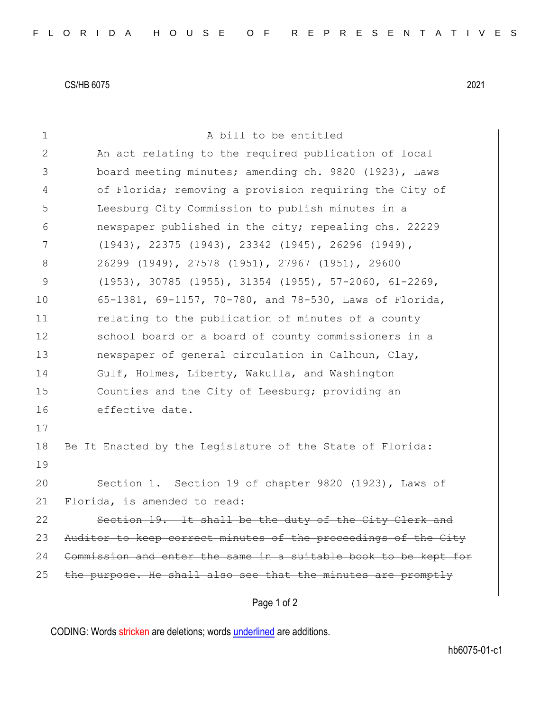CS/HB 6075 2021

| $\mathbf 1$ | A bill to be entitled                                           |
|-------------|-----------------------------------------------------------------|
| 2           | An act relating to the required publication of local            |
| 3           | board meeting minutes; amending ch. 9820 (1923), Laws           |
| 4           | of Florida; removing a provision requiring the City of          |
| 5           | Leesburg City Commission to publish minutes in a                |
| 6           | newspaper published in the city; repealing chs. 22229           |
| 7           | (1943), 22375 (1943), 23342 (1945), 26296 (1949),               |
| 8           | 26299 (1949), 27578 (1951), 27967 (1951), 29600                 |
| 9           | $(1953)$ , 30785 $(1955)$ , 31354 $(1955)$ , 57-2060, 61-2269,  |
| 10          | 65-1381, 69-1157, 70-780, and 78-530, Laws of Florida,          |
| 11          | relating to the publication of minutes of a county              |
| 12          | school board or a board of county commissioners in a            |
| 13          | newspaper of general circulation in Calhoun, Clay,              |
| 14          | Gulf, Holmes, Liberty, Wakulla, and Washington                  |
| 15          | Counties and the City of Leesburg; providing an                 |
| 16          | effective date.                                                 |
| 17          |                                                                 |
| 18          | Be It Enacted by the Legislature of the State of Florida:       |
| 19          |                                                                 |
| 20          | Section 1. Section 19 of chapter 9820 (1923), Laws of           |
| 21          | Florida, is amended to read:                                    |
| 22          | Section 19. It shall be the duty of the City Clerk              |
| 23          | Auditor to keep correct minutes of the proceedings of the City  |
| 24          | Commission and enter the same in a suitable book to be kept for |
| 25          | the purpose. He shall also see that the minutes are promptly    |
|             | Page 1 of 2                                                     |
|             |                                                                 |

CODING: Words stricken are deletions; words underlined are additions.